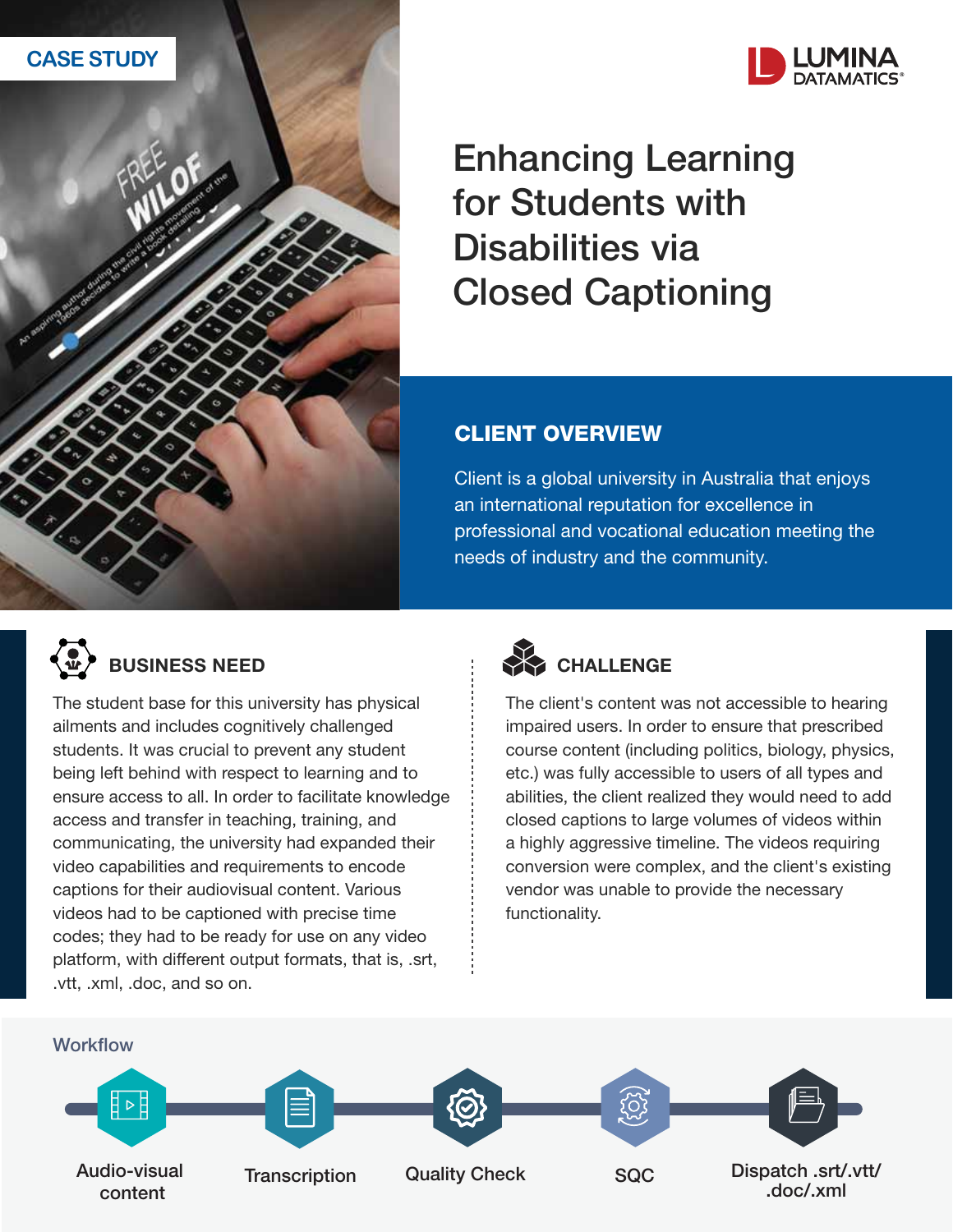



Enhancing Learning for Students with Disabilities via Closed Captioning

## CLIENT OVERVIEW

Client is a global university in Australia that enjoys an international reputation for excellence in professional and vocational education meeting the needs of industry and the community.



The student base for this university has physical ailments and includes cognitively challenged students. It was crucial to prevent any student being left behind with respect to learning and to ensure access to all. In order to facilitate knowledge access and transfer in teaching, training, and communicating, the university had expanded their video capabilities and requirements to encode captions for their audiovisual content. Various videos had to be captioned with precise time codes; they had to be ready for use on any video platform, with different output formats, that is, .srt, .vtt, .xml, .doc, and so on.



The client's content was not accessible to hearing impaired users. In order to ensure that prescribed course content (including politics, biology, physics, etc.) was fully accessible to users of all types and abilities, the client realized they would need to add closed captions to large volumes of videos within a highly aggressive timeline. The videos requiring conversion were complex, and the client's existing vendor was unable to provide the necessary functionality.